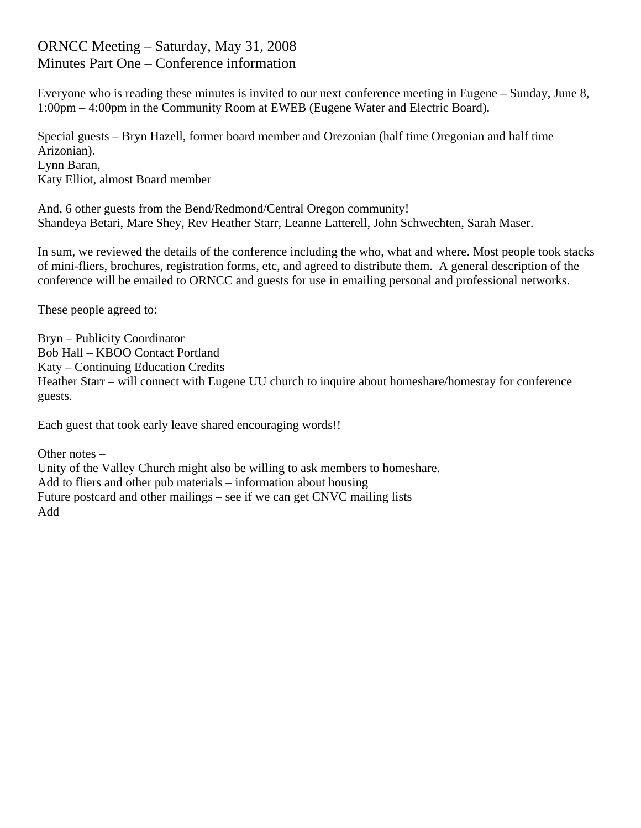## ORNCC Meeting – Saturday, May 31, 2008 Minutes Part One – Conference information

Everyone who is reading these minutes is invited to our next conference meeting in Eugene – Sunday, June 8, 1:00pm – 4:00pm in the Community Room at EWEB (Eugene Water and Electric Board).

Special guests – Bryn Hazell, former board member and Orezonian (half time Oregonian and half time Arizonian). Lynn Baran, Katy Elliot, almost Board member

And, 6 other guests from the Bend/Redmond/Central Oregon community! Shandeya Betari, Mare Shey, Rev Heather Starr, Leanne Latterell, John Schwechten, Sarah Maser.

In sum, we reviewed the details of the conference including the who, what and where. Most people took stacks of mini-fliers, brochures, registration forms, etc, and agreed to distribute them. A general description of the conference will be emailed to ORNCC and guests for use in emailing personal and professional networks.

These people agreed to:

Bryn – Publicity Coordinator Bob Hall – KBOO Contact Portland Katy – Continuing Education Credits Heather Starr – will connect with Eugene UU church to inquire about homeshare/homestay for conference guests.

Each guest that took early leave shared encouraging words!!

Other notes – Unity of the Valley Church might also be willing to ask members to homeshare. Add to fliers and other pub materials – information about housing Future postcard and other mailings – see if we can get CNVC mailing lists Add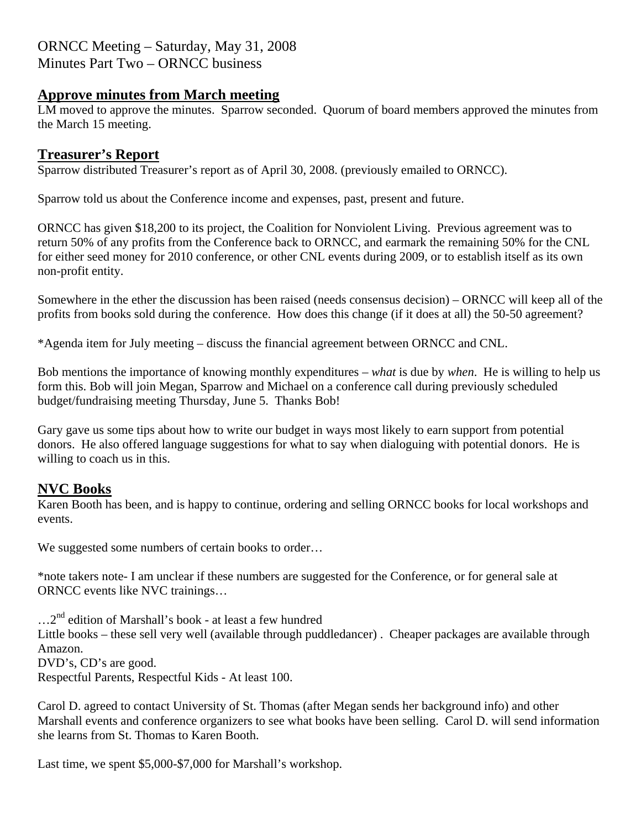### ORNCC Meeting – Saturday, May 31, 2008 Minutes Part Two – ORNCC business

### **Approve minutes from March meeting**

LM moved to approve the minutes. Sparrow seconded. Quorum of board members approved the minutes from the March 15 meeting.

### **Treasurer's Report**

Sparrow distributed Treasurer's report as of April 30, 2008. (previously emailed to ORNCC).

Sparrow told us about the Conference income and expenses, past, present and future.

ORNCC has given \$18,200 to its project, the Coalition for Nonviolent Living. Previous agreement was to return 50% of any profits from the Conference back to ORNCC, and earmark the remaining 50% for the CNL for either seed money for 2010 conference, or other CNL events during 2009, or to establish itself as its own non-profit entity.

Somewhere in the ether the discussion has been raised (needs consensus decision) – ORNCC will keep all of the profits from books sold during the conference. How does this change (if it does at all) the 50-50 agreement?

\*Agenda item for July meeting – discuss the financial agreement between ORNCC and CNL.

Bob mentions the importance of knowing monthly expenditures – *what* is due by *when*. He is willing to help us form this. Bob will join Megan, Sparrow and Michael on a conference call during previously scheduled budget/fundraising meeting Thursday, June 5. Thanks Bob!

Gary gave us some tips about how to write our budget in ways most likely to earn support from potential donors. He also offered language suggestions for what to say when dialoguing with potential donors. He is willing to coach us in this.

### **NVC Books**

Karen Booth has been, and is happy to continue, ordering and selling ORNCC books for local workshops and events.

We suggested some numbers of certain books to order…

\*note takers note- I am unclear if these numbers are suggested for the Conference, or for general sale at ORNCC events like NVC trainings…

 $\dots 2^{nd}$  edition of Marshall's book - at least a few hundred Little books – these sell very well (available through puddledancer) . Cheaper packages are available through Amazon. DVD's, CD's are good.

Respectful Parents, Respectful Kids - At least 100.

Carol D. agreed to contact University of St. Thomas (after Megan sends her background info) and other Marshall events and conference organizers to see what books have been selling. Carol D. will send information she learns from St. Thomas to Karen Booth.

Last time, we spent \$5,000-\$7,000 for Marshall's workshop.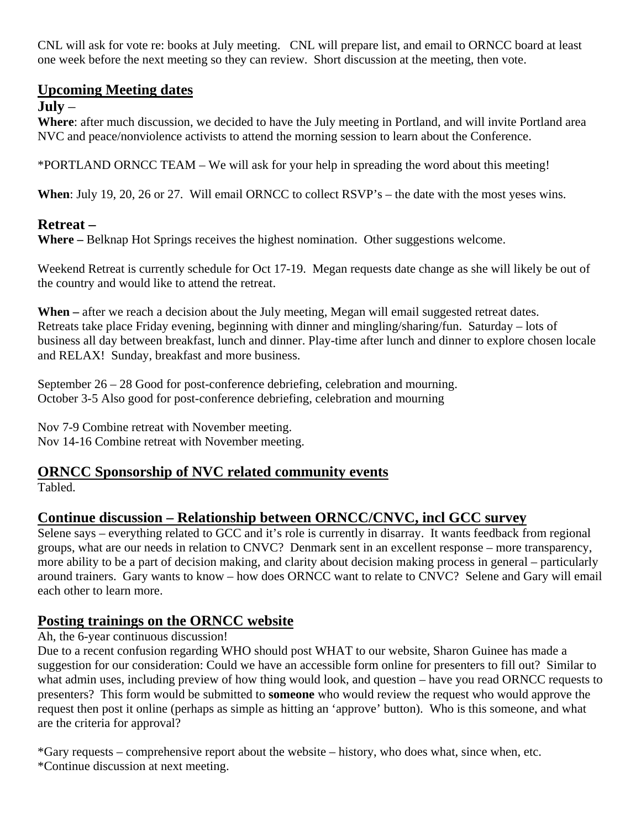CNL will ask for vote re: books at July meeting. CNL will prepare list, and email to ORNCC board at least one week before the next meeting so they can review. Short discussion at the meeting, then vote.

## **Upcoming Meeting dates**

### **July** –

**Where**: after much discussion, we decided to have the July meeting in Portland, and will invite Portland area NVC and peace/nonviolence activists to attend the morning session to learn about the Conference.

\*PORTLAND ORNCC TEAM – We will ask for your help in spreading the word about this meeting!

**When**: July 19, 20, 26 or 27. Will email ORNCC to collect RSVP's – the date with the most yeses wins.

# **Retreat –**

**Where –** Belknap Hot Springs receives the highest nomination. Other suggestions welcome.

Weekend Retreat is currently schedule for Oct 17-19. Megan requests date change as she will likely be out of the country and would like to attend the retreat.

When – after we reach a decision about the July meeting, Megan will email suggested retreat dates. Retreats take place Friday evening, beginning with dinner and mingling/sharing/fun. Saturday – lots of business all day between breakfast, lunch and dinner. Play-time after lunch and dinner to explore chosen locale and RELAX! Sunday, breakfast and more business.

September 26 – 28 Good for post-conference debriefing, celebration and mourning. October 3-5 Also good for post-conference debriefing, celebration and mourning

Nov 7-9 Combine retreat with November meeting. Nov 14-16 Combine retreat with November meeting.

# **ORNCC Sponsorship of NVC related community events**

Tabled.

# **Continue discussion – Relationship between ORNCC/CNVC, incl GCC survey**

Selene says – everything related to GCC and it's role is currently in disarray. It wants feedback from regional groups, what are our needs in relation to CNVC? Denmark sent in an excellent response – more transparency, more ability to be a part of decision making, and clarity about decision making process in general – particularly around trainers. Gary wants to know – how does ORNCC want to relate to CNVC? Selene and Gary will email each other to learn more.

# **Posting trainings on the ORNCC website**

### Ah, the 6-year continuous discussion!

Due to a recent confusion regarding WHO should post WHAT to our website, Sharon Guinee has made a suggestion for our consideration: Could we have an accessible form online for presenters to fill out? Similar to what admin uses, including preview of how thing would look, and question – have you read ORNCC requests to presenters? This form would be submitted to **someone** who would review the request who would approve the request then post it online (perhaps as simple as hitting an 'approve' button). Who is this someone, and what are the criteria for approval?

\*Gary requests – comprehensive report about the website – history, who does what, since when, etc. \*Continue discussion at next meeting.